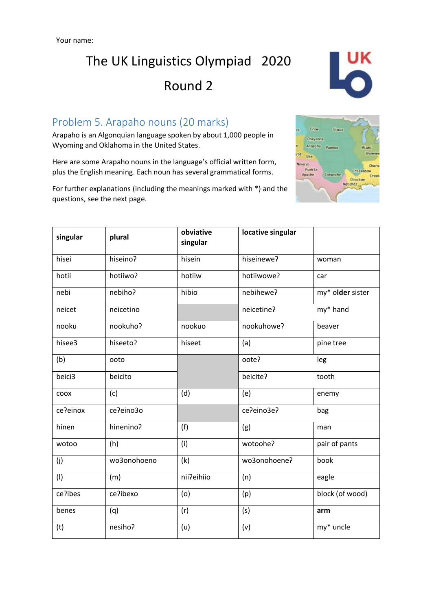

### Problem 5. Arapaho nouns (20 marks)

Arapaho is an Algonquian language spoken by about 1,000 people in Wyoming and Oklahoma in the United States.

Here are some Arapaho nouns in the language's official written form, plus the English meaning. Each noun has several grammatical forms.

For further explanations (including the meanings marked with \*) and the questions, see the next page.



| singular | plural      | obviative<br>singular | locative singular |                  |
|----------|-------------|-----------------------|-------------------|------------------|
| hisei    | hiseino?    | hisein                | hiseinewe?        | woman            |
| hotii    | hotiiwo?    | hotiiw                | hotiiwowe?        | car              |
| nebi     | nebiho?     | hibio                 | nebihewe?         | my* older sister |
| neicet   | neicetino   |                       | neicetine?        | my* hand         |
| nooku    | nookuho?    | nookuo                | nookuhowe?        | beaver           |
| hisee3   | hiseeto?    | hiseet                | (a)               | pine tree        |
| (b)      | ooto        |                       | oote?             | leg              |
| beici3   | beicito     |                       | beicite?          | tooth            |
| coox     | (c)         | (d)                   | (e)               | enemy            |
| ce?einox | ce?eino3o   |                       | ce?eino3e?        | bag              |
| hinen    | hinenino?   | (f)                   | (g)               | man              |
| wotoo    | (h)         | (i)                   | wotoohe?          | pair of pants    |
| (j)      | wo3onohoeno | (k)                   | wo3onohoene?      | book             |
| (1)      | (m)         | nii?eihiio            | (n)               | eagle            |
| ce?ibes  | ce?ibexo    | (o)                   | (p)               | block (of wood)  |
| benes    | (q)         | (r)                   | (s)               | arm              |
| (t)      | nesiho?     | (u)                   | (v)               | my* uncle        |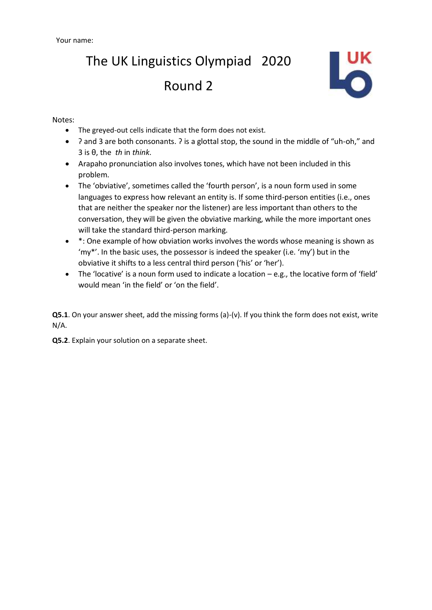

Notes:

- The greyed-out cells indicate that the form does not exist.
- $\sqrt{ }$  and 3 are both consonants. *?* is a glottal stop, the sound in the middle of "uh-oh," and 3 is θ, the *th* in *think*.
- Arapaho pronunciation also involves tones, which have not been included in this problem.
- The 'obviative', sometimes called the 'fourth person', is a noun form used in some languages to express how relevant an entity is. If some third-person entities (i.e., ones that are neither the speaker nor the listener) are less important than others to the conversation, they will be given the obviative marking, while the more important ones will take the standard third-person marking.
- \*: One example of how obviation works involves the words whose meaning is shown as 'my\*'. In the basic uses, the possessor is indeed the speaker (i.e. 'my') but in the obviative it shifts to a less central third person ('his' or 'her').
- The 'locative' is a noun form used to indicate a location e.g., the locative form of 'field' would mean 'in the field' or 'on the field'.

**Q5.1**. On your answer sheet, add the missing forms (a)-(v). If you think the form does not exist, write N/A.

**Q5.2**. Explain your solution on a separate sheet.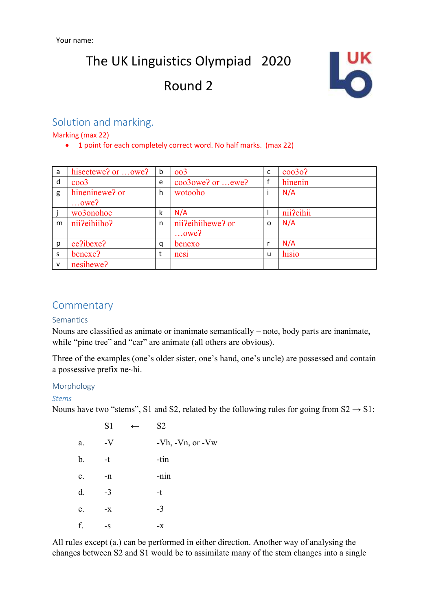

### Solution and marking.

Marking (max 22)

• 1 point for each completely correct word. No half marks. (max 22)

| a | hiseetewe? or owe? | b | oo3               | c        | $c$ 0030? |
|---|--------------------|---|-------------------|----------|-----------|
| d | $\cos^3$           | e | coo3owe? or ewe?  |          | hinenin   |
| g | hineninewe? or     | h | wotooho           |          | N/A       |
|   | $$ owe?            |   |                   |          |           |
|   | wo3onohoe          | k | N/A               |          | nii?eihii |
| m | nii?eihiiho?       | n | nii?eihiihewe? or | $\Omega$ | N/A       |
|   |                    |   | $$ owe?           |          |           |
| p | ce?ibexe?          | q | benexo            |          | N/A       |
| S | benexe?            | t | nesi              | u        | hisio     |
| v | nesihewe?          |   |                   |          |           |

### **Commentary**

#### **Semantics**

Nouns are classified as animate or inanimate semantically – note, body parts are inanimate, while "pine tree" and "car" are animate (all others are obvious).

Three of the examples (one's older sister, one's hand, one's uncle) are possessed and contain a possessive prefix ne~hi.

#### Morphology

#### *Stems*

Nouns have two "stems", S1 and S2, related by the following rules for going from  $S2 \rightarrow S1$ :

|                | S1   | $\leftarrow$ | S <sub>2</sub>   |
|----------------|------|--------------|------------------|
| a.             | $-V$ |              | -Vh, -Vn, or -Vw |
| b.             | -t   |              | -tin             |
| $\mathbf{c}$ . | -n   |              | -nin             |
| d.             | $-3$ |              | $-t$             |
| e.             | $-X$ |              | $-3$             |
| f.             | $-S$ |              | $-X$             |

All rules except (a.) can be performed in either direction. Another way of analysing the changes between S2 and S1 would be to assimilate many of the stem changes into a single